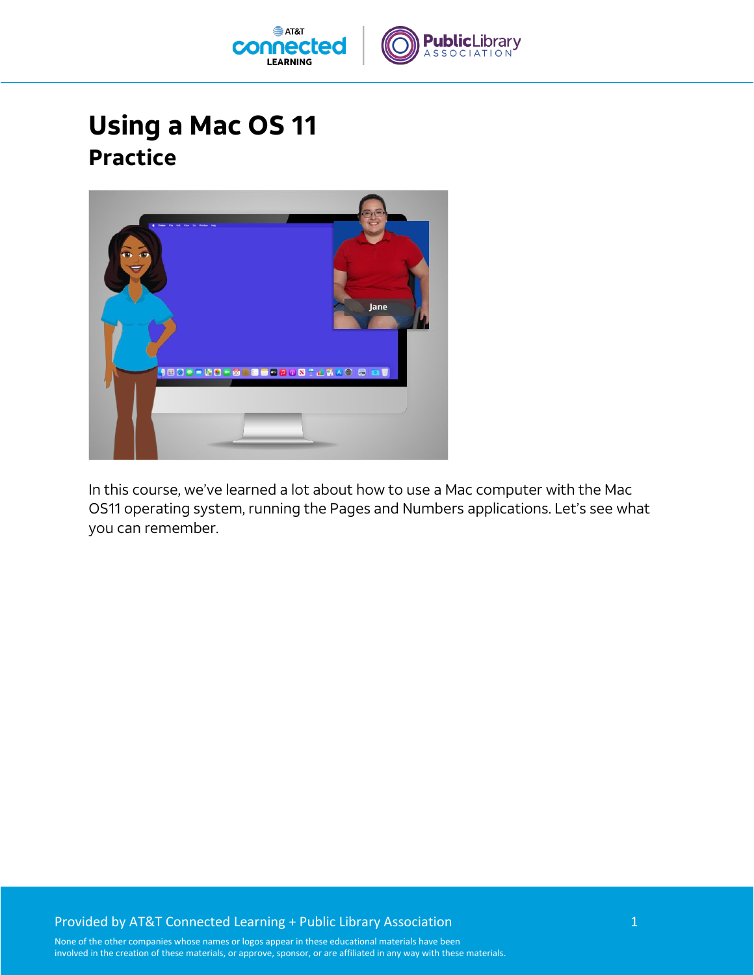

## **Using a Mac OS 11 Practice**



In this course, we've learned a lot about how to use a Mac computer with the Mac OS11 operating system, running the Pages and Numbers applications. Let's see what you can remember.

## Provided by AT&T Connected Learning + Public Library Association 1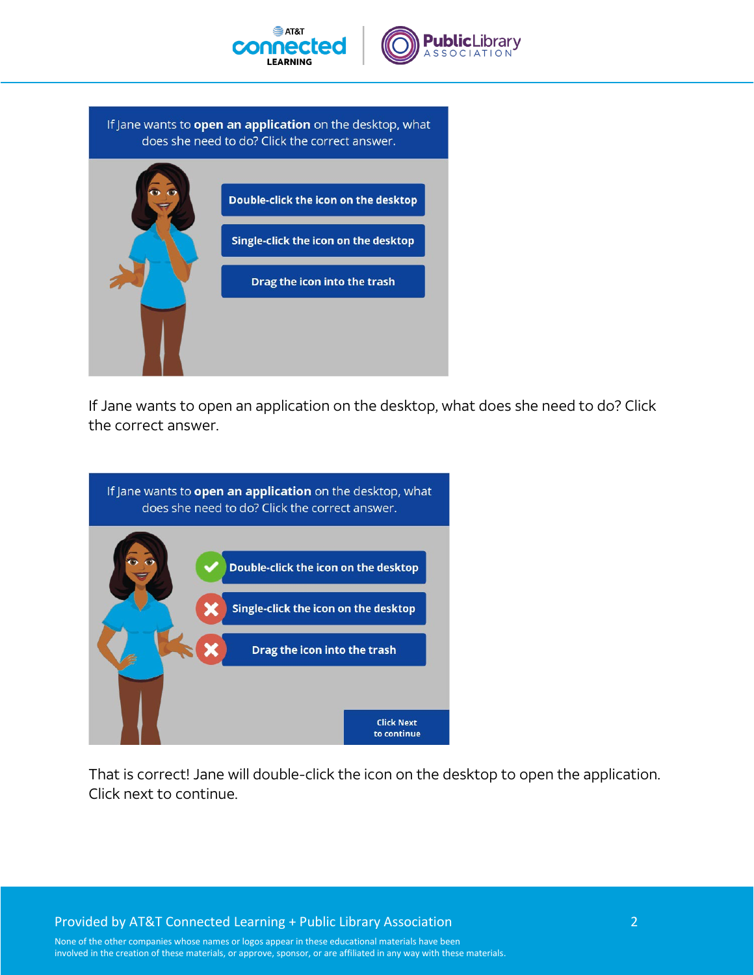



If Jane wants to open an application on the desktop, what does she need to do? Click the correct answer.



If Jane wants to open an application on the desktop, what does she need to do? Click the correct answer.



That is correct! Jane will double-click the icon on the desktop to open the application. Click next to continue.

Provided by AT&T Connected Learning + Public Library Association 2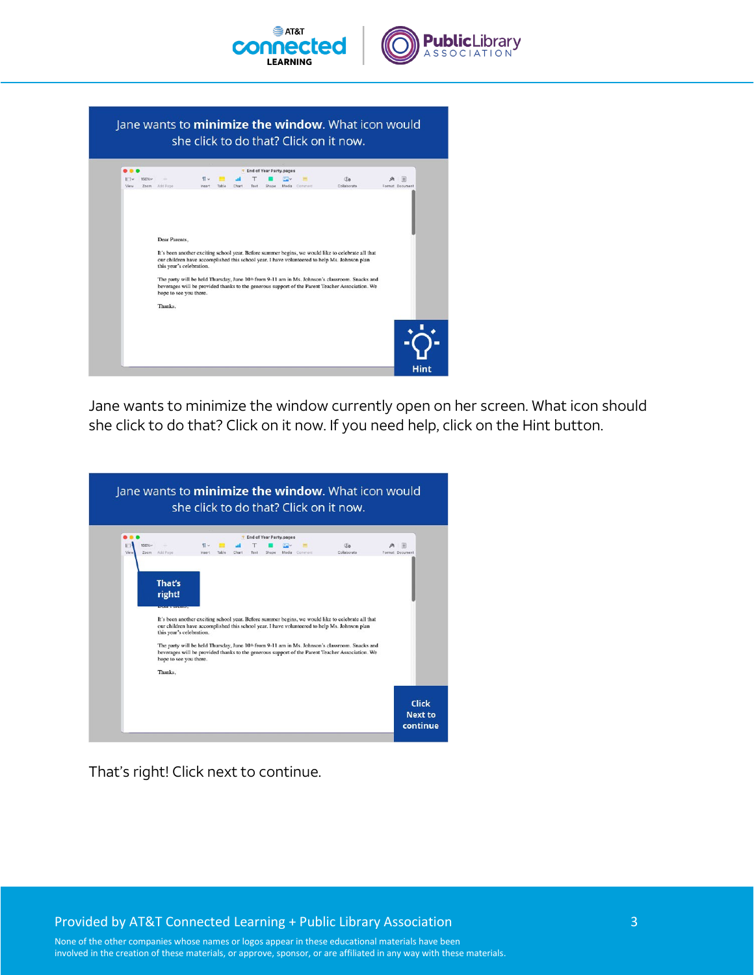

Jane wants to minimize the window. What icon would she click to do that? Click on it now. End of Year Party.pager  $\P \vee$   $\P \vee$  and  $\P$   $\P$   $\P$   $\Box \vee$   $\P$ <br>Insert Table Chart Text Shape Media Common  $\Box v$  150% $v$  -<br>View Zoom Add Page **Co**  $\mathbb{A} \quad \mathbb{B}$ Dear Parents, It's been another exciting school year. Before summer begins, we would like to celebrate all that our children have accomplished this school year. I have volunteered to help Ms. Johnson plan this year's celebration. The party will be held Thursday, June 10<sup>th</sup> from 9-11 am in Ms. Johnson's classroom. Snacks and beverages will be provided thanks to the generous support of the Parent Teacher Association. We hope to see you there. Thanks,

Jane wants to minimize the window currently open on her screen. What icon should she click to do that? Click on it now. If you need help, click on the Hint button.



That's right! Click next to continue.

Provided by AT&T Connected Learning + Public Library Association 3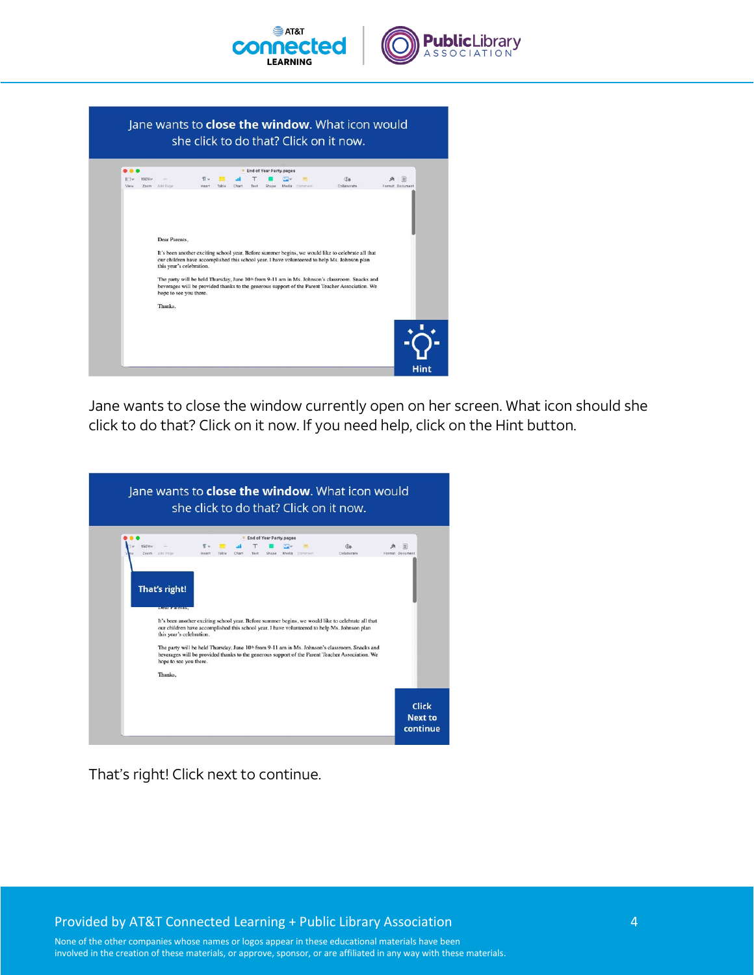

Jane wants to close the window. What icon would she click to do that? Click on it now. <sup>1</sup> End of Year Party.pages EV 150%<br>View Zeem AddiPage  $\P \vee$   $\P \vee$  and  $\P$   $\P$   $\P$   $\Box \vee$   $\P$ <br>Insert Table Chart Text Shape Media Comment  $\mathfrak{g}_0$  $\begin{picture}(20,20) \put(0,0){\line(1,0){10}} \put(15,0){\line(1,0){10}} \put(15,0){\line(1,0){10}} \put(15,0){\line(1,0){10}} \put(15,0){\line(1,0){10}} \put(15,0){\line(1,0){10}} \put(15,0){\line(1,0){10}} \put(15,0){\line(1,0){10}} \put(15,0){\line(1,0){10}} \put(15,0){\line(1,0){10}} \put(15,0){\line(1,0){10}} \put(15,0){\line(1$ Dear Parents, It's been another exciting school year. Before summer begins, we would like to celebrate all that our children have accomplished this school year. I have volunteered to help Ms. Johnson plan this year's celebration. The party will be held Thursday, June 10<sup>th</sup> from 9-11 am in Ms. Johnson's classroom. Snacks and beverages will be provided thanks to the generous support of the Parent Teacher Association. We hope to see you there. Thanks,

Jane wants to close the window currently open on her screen. What icon should she click to do that? Click on it now. If you need help, click on the Hint button.

|                           |                                                    |                              | <b>End of Year Party.pages</b> |                  |                                                                                                                                                                                                                                                                                                               |                      |
|---------------------------|----------------------------------------------------|------------------------------|--------------------------------|------------------|---------------------------------------------------------------------------------------------------------------------------------------------------------------------------------------------------------------------------------------------------------------------------------------------------------------|----------------------|
| 150% <sub>V</sub><br>Zoom | Add Page                                           | $\P \sim$<br>Insert<br>Table | Text<br>Shape                  | Media<br>Comment | Üа<br>Collaborate                                                                                                                                                                                                                                                                                             | 匩<br>Format Document |
|                           | this year's celebration.<br>hope to see you there. |                              |                                |                  | our children have accomplished this school year. I have volunteered to help Ms. Johnson plan<br>The party will be held Thursday, June 10 <sup>th</sup> from 9-11 am in Ms. Johnson's classroom. Snacks and<br>beverages will be provided thanks to the generous support of the Parent Teacher Association. We |                      |
|                           | Thanks.                                            |                              |                                |                  |                                                                                                                                                                                                                                                                                                               |                      |

That's right! Click next to continue.

Provided by AT&T Connected Learning + Public Library Association 4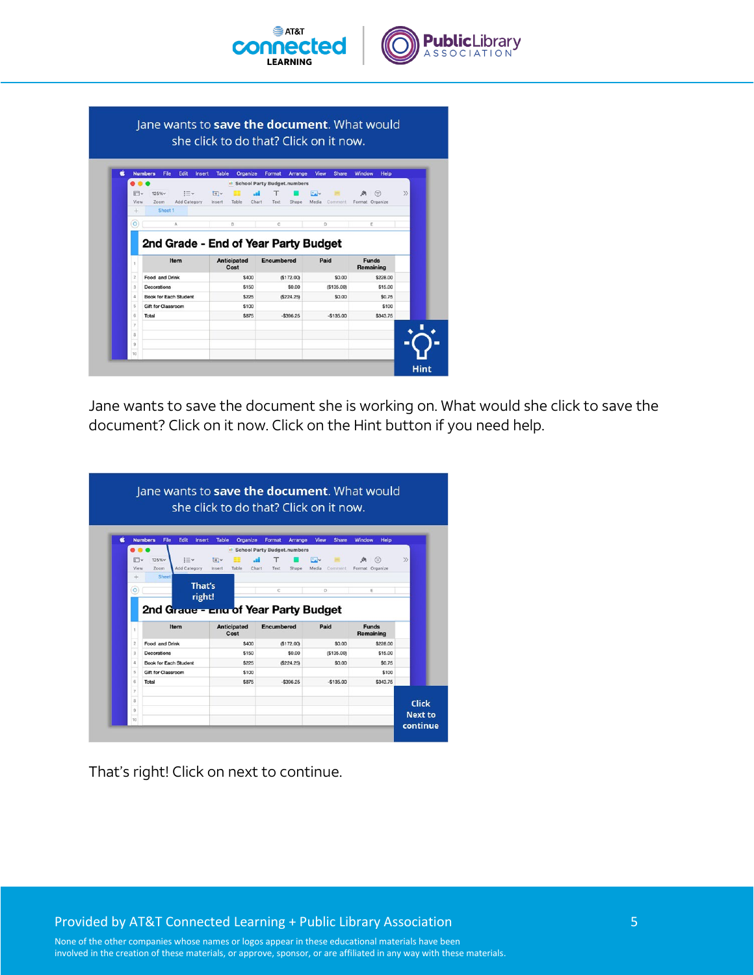

|                         | <b>Numbers</b><br>File       | Edit<br><b>Insert</b> | Organize<br><b>Table</b>                                   | Format                      | Arrange    | View<br><b>Share</b> | <b>Window</b><br>Help |
|-------------------------|------------------------------|-----------------------|------------------------------------------------------------|-----------------------------|------------|----------------------|-----------------------|
|                         | $\bullet$                    |                       |                                                            | School Party Budget.numbers |            |                      |                       |
| m٧                      | 125% <sub>v</sub>            | $:=$                  | FV                                                         |                             |            | $\Box$               | ⊜                     |
| View<br>$+$             | Zoom<br>Sheet <sub>1</sub>   | Add Category          | Insert<br>Table                                            | Chart<br>Text               | Shape      | Media<br>Comment     | Format Organize       |
|                         |                              |                       |                                                            |                             |            |                      |                       |
| $\circ$                 |                              | A                     | B                                                          | C                           |            | D                    | E                     |
| 1                       |                              | Item                  | 2nd Grade - End of Year Party Budget<br><b>Anticipated</b> | <b>Encumbered</b>           |            | Paid                 | <b>Funds</b>          |
|                         |                              |                       | Cost                                                       |                             |            |                      | Remaining             |
| $\overline{\mathbf{2}}$ | Food and Drink               |                       | \$400                                                      |                             | (S172.00)  | \$0.00               | \$228.00              |
| 3                       | Decorations                  |                       | \$150                                                      |                             | \$0.00     | (S135.00)            | \$15.00               |
| $\Delta$                | <b>Book for Each Student</b> |                       | \$225                                                      |                             | (S224.25)  | \$0.00               | \$0.75                |
| 5                       | <b>Gift for Classroom</b>    |                       | \$100                                                      |                             |            |                      | \$100                 |
| 6                       | Total                        |                       | \$875                                                      |                             | $-5396.25$ | $-$135.00$           | \$343.75              |
| $\overline{z}$          |                              |                       |                                                            |                             |            |                      |                       |
| 8<br>$\overline{9}$     |                              |                       |                                                            |                             |            |                      |                       |

Jane wants to save the document she is working on. What would she click to save the document? Click on it now. Click on the Hint button if you need help.

| <b>Numbers</b><br>É<br>File<br>Edit<br><b>Table</b><br><b>Organize</b><br><b>Insert</b><br>$:= -$<br>FI.<br>125% <sub>v</sub><br>$+V$<br>View<br>Zoom<br>Add Category<br>Insert<br>Table<br>Sheet<br>÷ | Format<br>Arrange<br><b>B</b> School Party Budget.numbers<br>Chart<br>Text<br>Shape | View<br><b>Share</b><br><b>SAV</b> | Window<br>Help<br>⊜       |               |
|--------------------------------------------------------------------------------------------------------------------------------------------------------------------------------------------------------|-------------------------------------------------------------------------------------|------------------------------------|---------------------------|---------------|
|                                                                                                                                                                                                        |                                                                                     |                                    |                           |               |
|                                                                                                                                                                                                        |                                                                                     |                                    |                           |               |
|                                                                                                                                                                                                        |                                                                                     | Media<br>Comment                   | Format Organize           | $\mathcal{Y}$ |
| That's<br>$\circ$                                                                                                                                                                                      | C                                                                                   | D                                  | E                         |               |
| <b>Anticipated</b><br>Item<br>1<br>Cost                                                                                                                                                                | Encumbered                                                                          | Paid                               | <b>Funds</b><br>Remaining |               |
| $\overline{\mathbf{2}}$<br>\$400<br>Food and Drink                                                                                                                                                     | (S172.00)                                                                           | \$0.00                             | \$228.00                  |               |
| 3<br>Decorations<br>\$150                                                                                                                                                                              | \$0.00                                                                              | (S135.00)                          | \$15.00                   |               |
| $\overline{4}$<br><b>Book for Each Student</b><br>\$225                                                                                                                                                | (S224.25)                                                                           | \$0.00                             | \$0.75                    |               |
|                                                                                                                                                                                                        |                                                                                     |                                    |                           |               |
| 5<br><b>Gift for Classroom</b><br>\$100<br>6                                                                                                                                                           |                                                                                     |                                    | \$100                     |               |

That's right! Click on next to continue.

Provided by AT&T Connected Learning + Public Library Association 5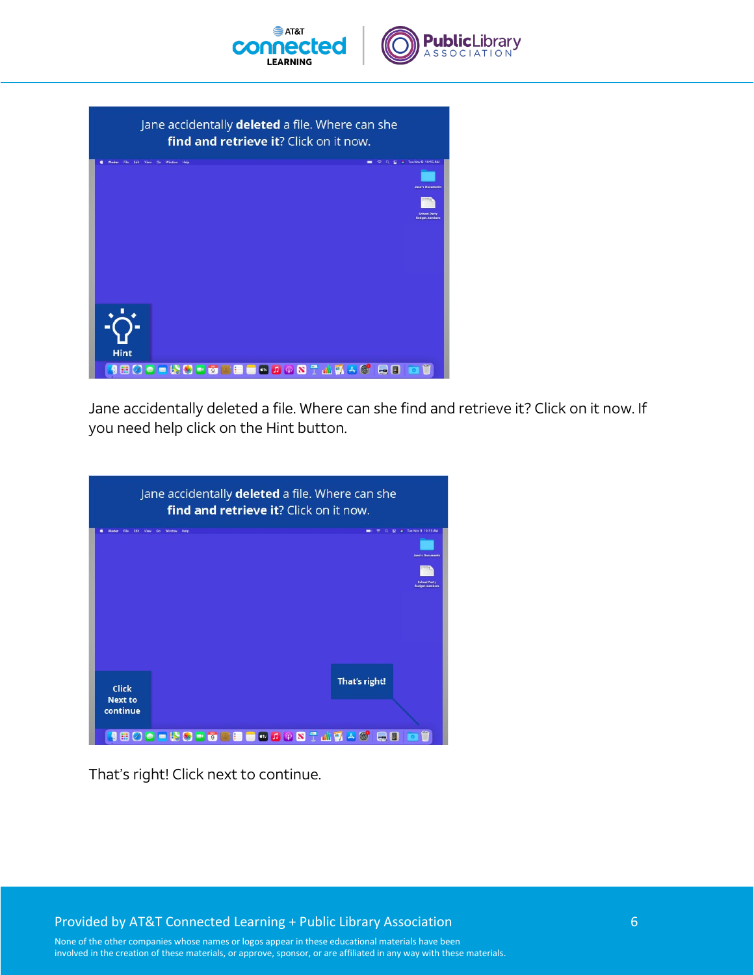





Jane accidentally deleted a file. Where can she find and retrieve it? Click on it now. If you need help click on the Hint button.

|                                            | Jane accidentally deleted a file. Where can she<br><b>find and retrieve it?</b> Click on it now.                          |
|--------------------------------------------|---------------------------------------------------------------------------------------------------------------------------|
| Edit<br>View                               | P Tue Nov 9 10:15 AM<br>Go Window<br>Help<br>÷<br><b>Jane's Documents</b><br><b>School Party</b><br><b>Budget numbers</b> |
| <b>Click</b><br><b>Next to</b><br>continue | That's right!                                                                                                             |
| $\mathbf{C} \boxplus \mathbf{O}$           | <b>OD 50 HOD 8 BOD 9 8 T A 7 A 6 B</b><br>圍                                                                               |

That's right! Click next to continue.

Provided by AT&T Connected Learning + Public Library Association 6